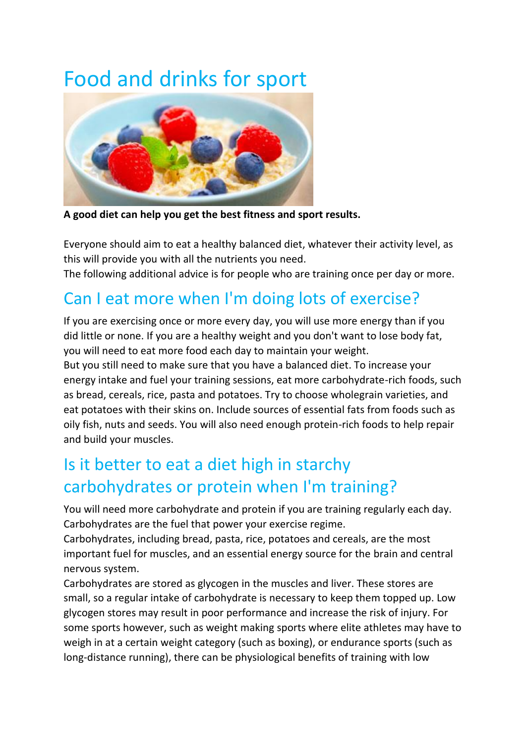# Food and drinks for sport



**A good diet can help you get the best fitness and sport results.**

Everyone should aim to eat a healthy [balanced diet,](http://www.nhs.uk/Livewell/Goodfood/Pages/Healthyeating.aspx) whatever their activity level, as this will provide you with all the nutrients you need.

The following additional advice is for people who are training once per day or more.

## Can I eat more when I'm doing lots of exercise?

If you are exercising once or more every day, you will use more energy than if you did little or none. If you are a healthy weight and you don't want to lose body fat, you will need to eat more food each day to maintain your weight.

But you still need to make sure that you have [a balanced diet.](http://www.nhs.uk/Livewell/Goodfood/Pages/Healthyeating.aspx) To increase your energy intake and fuel your training sessions, eat more carbohydrate-rich foods, such as bread, cereals, rice, pasta and potatoes. Try to choose wholegrain varieties, and eat potatoes with their skins on. Include sources of essential fats from foods such as oily fish, nuts and seeds. You will also need enough protein-rich foods to help repair and build your muscles.

### Is it better to eat a diet high in starchy carbohydrates or protein when I'm training?

You will need more carbohydrate and protein if you are training regularly each day. Carbohydrates are the fuel that power your exercise regime.

Carbohydrates, including bread, pasta, rice, potatoes and cereals, are the most important fuel for muscles, and an essential energy source for the brain and central nervous system.

Carbohydrates are stored as glycogen in the muscles and liver. These stores are small, so a regular intake of carbohydrate is necessary to keep them topped up. Low glycogen stores may result in poor performance and increase the risk of injury. For some sports however, such as weight making sports where elite athletes may have to weigh in at a certain weight category (such as boxing), or endurance sports (such as long-distance running), there can be physiological benefits of training with low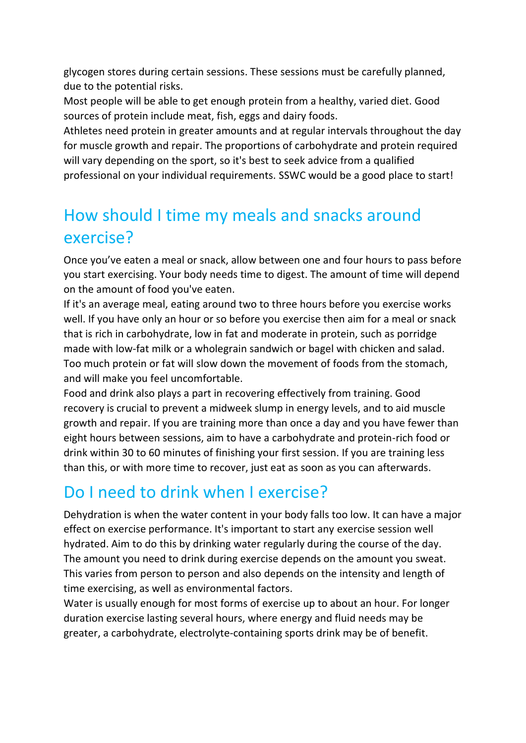glycogen stores during certain sessions. These sessions must be carefully planned, due to the potential risks.

Most people will be able to get enough protein from a healthy, varied diet. Good sources of protein include [meat,](http://www.nhs.uk/Livewell/Goodfood/Pages/meat.aspx) [fish,](http://www.nhs.uk/Livewell/Goodfood/Pages/fish-shellfish.aspx) [eggs](http://www.nhs.uk/Livewell/Goodfood/Pages/eggs-nutrition.aspx) and [dairy foods.](http://www.nhs.uk/Livewell/Goodfood/Pages/milk-dairy-foods.aspx)

Athletes need protein in greater amounts and at regular intervals throughout the day for muscle growth and repair. The proportions of carbohydrate and protein required will vary depending on the sport, so it's best to seek advice from a qualified professional on your individual requirements. SSWC would be a good place to start!

#### How should I time my meals and snacks around exercise?

Once you've eaten a meal or snack, allow between one and four hours to pass before you start exercising. Your body needs time to digest. The amount of time will depend on the amount of food you've eaten.

If it's an average meal, eating around two to three hours before you exercise works well. If you have only an hour or so before you exercise then aim for a meal or snack that is rich in carbohydrate, low in fat and moderate in protein, such as porridge made with low-fat milk or a wholegrain sandwich or bagel with chicken and salad. Too much protein or fat will slow down the movement of foods from the stomach, and will make you feel uncomfortable.

Food and drink also plays a part in recovering effectively from training. Good recovery is crucial to prevent a midweek slump in energy levels, and to aid muscle growth and repair. If you are training more than once a day and you have fewer than eight hours between sessions, aim to have a carbohydrate and protein-rich food or drink within 30 to 60 minutes of finishing your first session. If you are training less than this, or with more time to recover, just eat as soon as you can afterwards.

#### Do I need to drink when I exercise?

Dehydration is when the water content in your body falls too low. It can have a major effect on exercise performance. It's important to start any exercise session well hydrated. Aim to do this by drinking water regularly during the course of the day. The amount you need to drink during exercise depends on the amount you sweat. This varies from person to person and also depends on the intensity and length of time exercising, as well as environmental factors.

Water is usually enough for most forms of exercise up to about an hour. For longer duration exercise lasting several hours, where energy and fluid needs may be greater, a carbohydrate, electrolyte-containing sports drink may be of benefit.